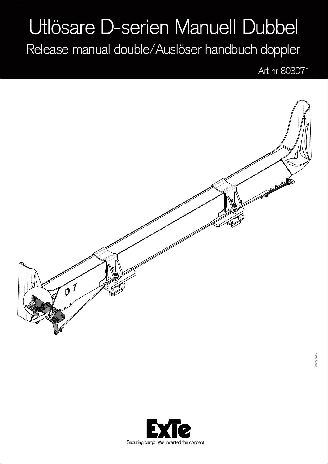## Utlösare D-serien Manuell Dubbel

Release manual double/Auslöser handbuch doppler

Art.nr 803071